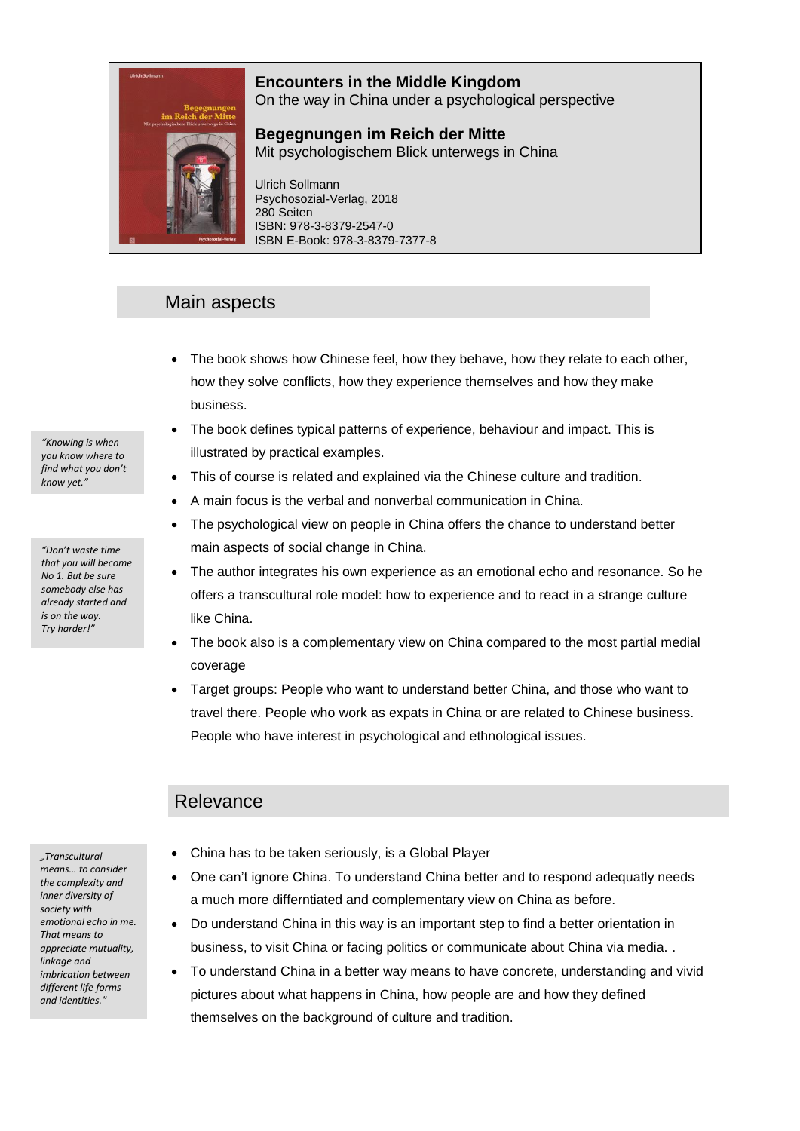# **Encounters in the Middle Kingdom**



On the way in China under a psychological perspective

**Begegnungen im Reich der Mitte** Mit psychologischem Blick unterwegs in China

Ulrich Sollmann Psychosozial-Verlag, 2018 280 Seiten ISBN: 978-3-8379-2547-0 ISBN E-Book: 978-3-8379-7377-8

## Main aspects

- The book shows how Chinese feel, how they behave, how they relate to each other, how they solve conflicts, how they experience themselves and how they make business.
- The book defines typical patterns of experience, behaviour and impact. This is illustrated by practical examples.
- This of course is related and explained via the Chinese culture and tradition.
- A main focus is the verbal and nonverbal communication in China.
- The psychological view on people in China offers the chance to understand better main aspects of social change in China.
- The author integrates his own experience as an emotional echo and resonance. So he offers a transcultural role model: how to experience and to react in a strange culture like China.
- The book also is a complementary view on China compared to the most partial medial coverage
- Target groups: People who want to understand better China, and those who want to travel there. People who work as expats in China or are related to Chinese business. People who have interest in psychological and ethnological issues.

### Relevance

*"Transcultural means… to consider the complexity and inner diversity of society with emotional echo in me. That means to appreciate mutuality, linkage and imbrication between different life forms and identities."*

- China has to be taken seriously, is a Global Player
- One can't ignore China. To understand China better and to respond adequatly needs a much more differntiated and complementary view on China as before.
- Do understand China in this way is an important step to find a better orientation in business, to visit China or facing politics or communicate about China via media. .
- To understand China in a better way means to have concrete, understanding and vivid pictures about what happens in China, how people are and how they defined themselves on the background of culture and tradition.

*"Knowing is when you know where to find what you don't know yet."*

*"Don't waste time that you will become No 1. But be sure somebody else has already started and is on the way. Try harder!"*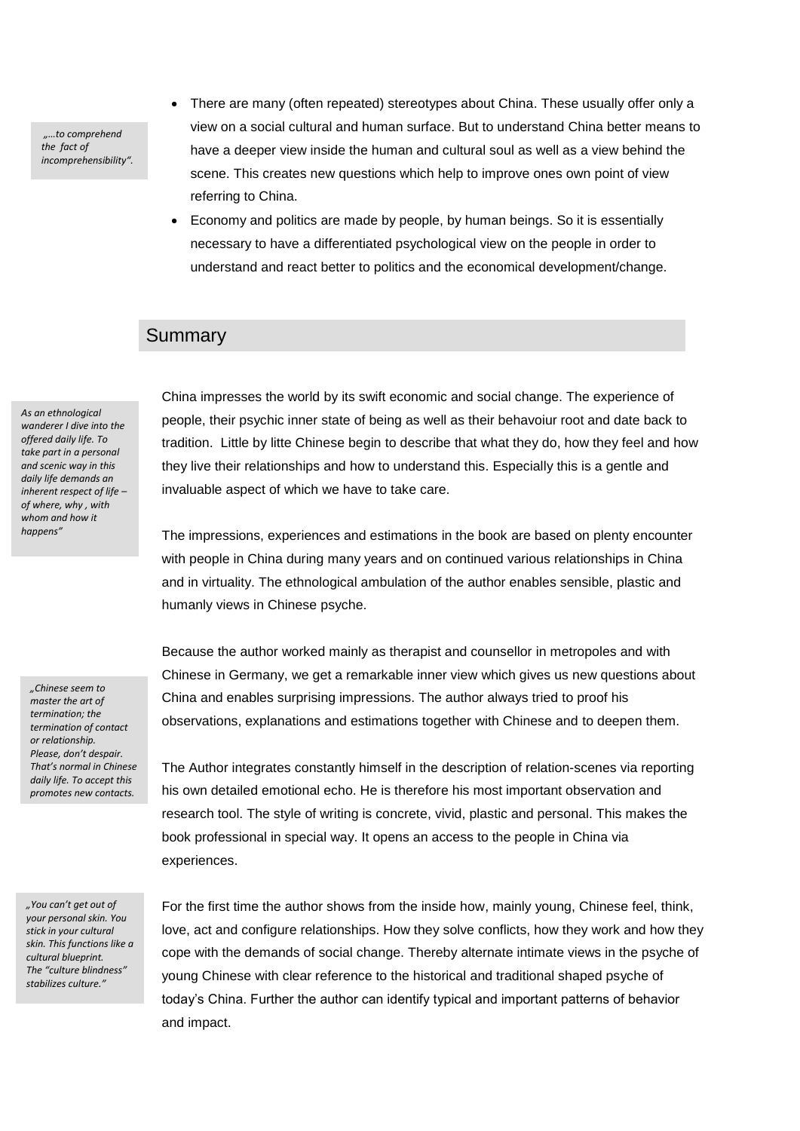*"…to comprehend the fact of incomprehensibility".* 

- There are many (often repeated) stereotypes about China. These usually offer only a view on a social cultural and human surface. But to understand China better means to have a deeper view inside the human and cultural soul as well as a view behind the scene. This creates new questions which help to improve ones own point of view referring to China.
- Economy and politics are made by people, by human beings. So it is essentially necessary to have a differentiated psychological view on the people in order to understand and react better to politics and the economical development/change.

#### Summary

*As an ethnological wanderer I dive into the offered daily life. To take part in a personal and scenic way in this daily life demands an inherent respect of life – of where, why , with whom and how it happens"*

*"Chinese seem to master the art of termination; the termination of contact or relationship. Please, don't despair. That's normal in Chinese daily life. To accept this promotes new contacts.*

China impresses the world by its swift economic and social change. The experience of people, their psychic inner state of being as well as their behavoiur root and date back to tradition. Little by litte Chinese begin to describe that what they do, how they feel and how they live their relationships and how to understand this. Especially this is a gentle and invaluable aspect of which we have to take care.

The impressions, experiences and estimations in the book are based on plenty encounter with people in China during many years and on continued various relationships in China and in virtuality. The ethnological ambulation of the author enables sensible, plastic and humanly views in Chinese psyche.

Because the author worked mainly as therapist and counsellor in metropoles and with Chinese in Germany, we get a remarkable inner view which gives us new questions about China and enables surprising impressions. The author always tried to proof his observations, explanations and estimations together with Chinese and to deepen them.

The Author integrates constantly himself in the description of relation-scenes via reporting his own detailed emotional echo. He is therefore his most important observation and research tool. The style of writing is concrete, vivid, plastic and personal. This makes the book professional in special way. It opens an access to the people in China via experiences.

*"You can't get out of your personal skin. You stick in your cultural skin. This functions like a cultural blueprint. The "culture blindness" stabilizes culture."*

For the first time the author shows from the inside how, mainly young, Chinese feel, think, love, act and configure relationships. How they solve conflicts, how they work and how they cope with the demands of social change. Thereby alternate intimate views in the psyche of young Chinese with clear reference to the historical and traditional shaped psyche of today's China. Further the author can identify typical and important patterns of behavior and impact.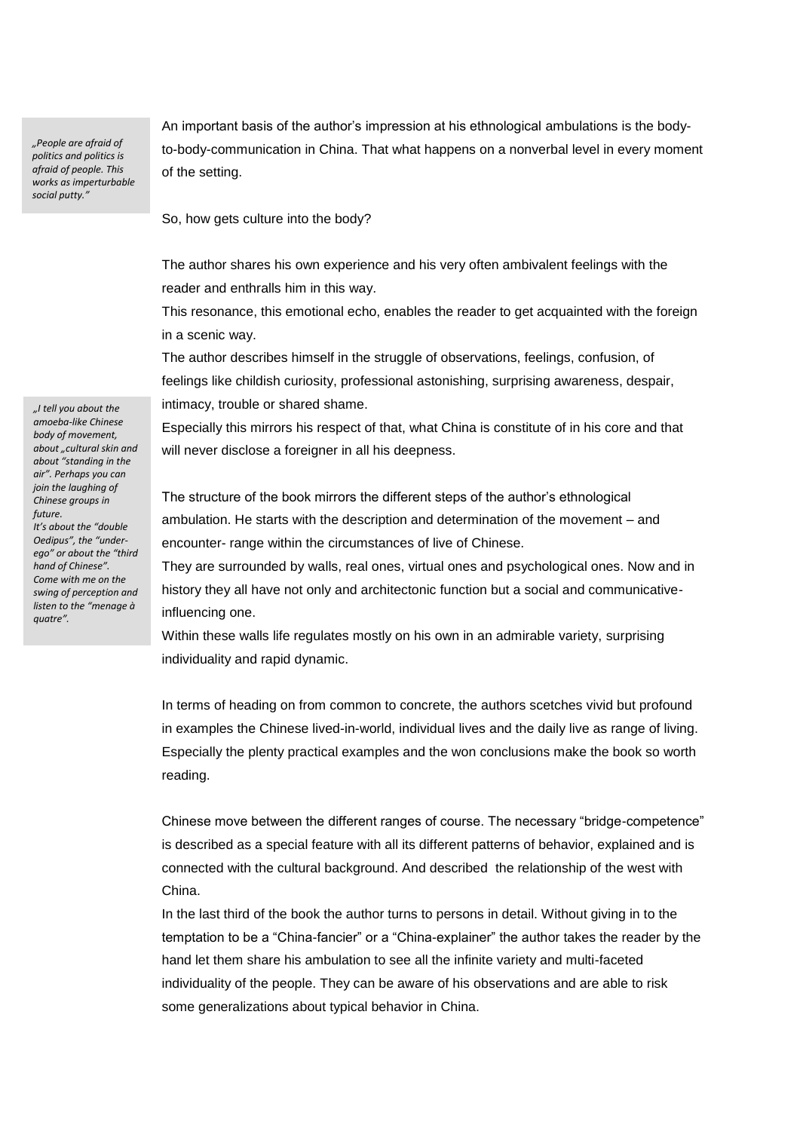*"People are afraid of politics and politics is afraid of people. This works as imperturbable social putty."*

An important basis of the author's impression at his ethnological ambulations is the bodyto-body-communication in China. That what happens on a nonverbal level in every moment of the setting.

So, how gets culture into the body?

The author shares his own experience and his very often ambivalent feelings with the reader and enthralls him in this way.

This resonance, this emotional echo, enables the reader to get acquainted with the foreign in a scenic way.

The author describes himself in the struggle of observations, feelings, confusion, of feelings like childish curiosity, professional astonishing, surprising awareness, despair, intimacy, trouble or shared shame.

Especially this mirrors his respect of that, what China is constitute of in his core and that will never disclose a foreigner in all his deepness.

The structure of the book mirrors the different steps of the author's ethnological ambulation. He starts with the description and determination of the movement – and encounter- range within the circumstances of live of Chinese.

They are surrounded by walls, real ones, virtual ones and psychological ones. Now and in history they all have not only and architectonic function but a social and communicativeinfluencing one.

Within these walls life regulates mostly on his own in an admirable variety, surprising individuality and rapid dynamic.

In terms of heading on from common to concrete, the authors scetches vivid but profound in examples the Chinese lived-in-world, individual lives and the daily live as range of living. Especially the plenty practical examples and the won conclusions make the book so worth reading.

Chinese move between the different ranges of course. The necessary "bridge-competence" is described as a special feature with all its different patterns of behavior, explained and is connected with the cultural background. And described the relationship of the west with China.

In the last third of the book the author turns to persons in detail. Without giving in to the temptation to be a "China-fancier" or a "China-explainer" the author takes the reader by the hand let them share his ambulation to see all the infinite variety and multi-faceted individuality of the people. They can be aware of his observations and are able to risk some generalizations about typical behavior in China.

*amoeba-like Chinese body of movement, about "cultural skin and about "standing in the air". Perhaps you can join the laughing of Chinese groups in future. It's about the "double Oedipus", the "underego" or about the "third hand of Chinese". Come with me on the swing of perception and listen to the "menage à quatre".* 

*"I tell you about the*